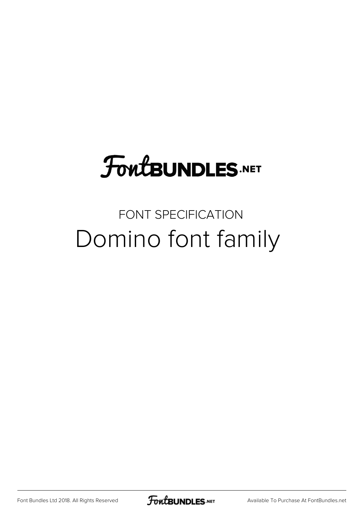## **FoutBUNDLES.NET**

### FONT SPECIFICATION Domino font family

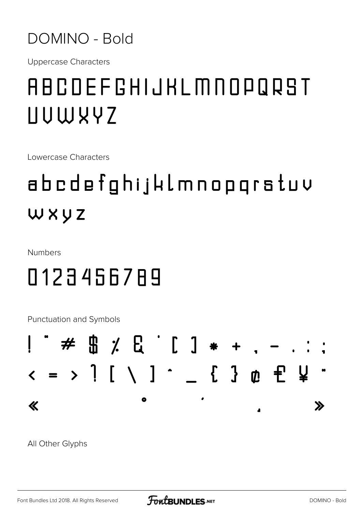#### DOMINO - Bold

**Uppercase Characters** 

### ABCDEFGHIJKLMNOPQRST UUWYYZ

Lowercase Characters

## abcdefghijklmnopgratuv WXYZ

Numbers

### 0123456789

Punctuation and Symbols

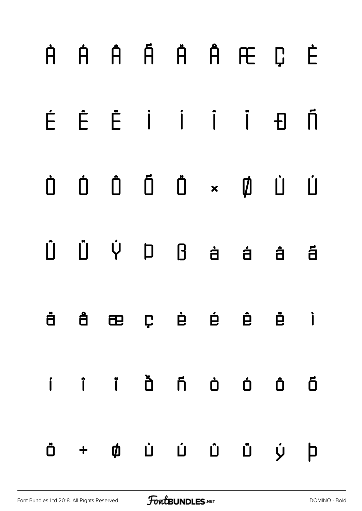# **À Á Â Ã Ä Å Æ Ç È É Ê Ë Ì Í Î Ï Ð Ñ Ò Ó Ô Õ Ö × Ø Ù Ú Û Ü Ý Þ ß à á â ã ä å æ ç è é ê ë ì í î ï ð ñ ò ó ô õ ö ÷ ø ù ú û ü ý þ**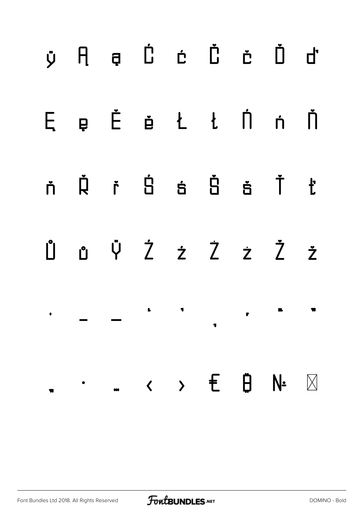## **ÿ Ą ą Ć ć Č č Ď ď Ę ę Ě ě Ł ł Ń ń Ň ň Ř ř Ś ś Š š Ť ť Ů ů Ÿ Ź ź Ż ż Ž ž ˙ – — ' ' ' ' " "**  $\blacksquare$ **… ‹ › € ₿ № " •**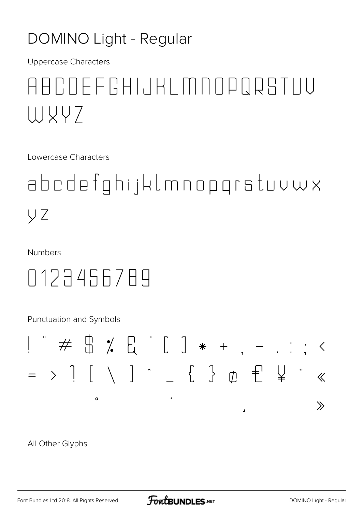#### **DOMINO Light - Regular**

**Uppercase Characters** 

### ABCOEFCHIJKLMNOPQRSTUU WXY7

Lowercase Characters

abcdefghijklmnopgrstuvwx y z

**Numbers** 

0123456789

Punctuation and Symbols

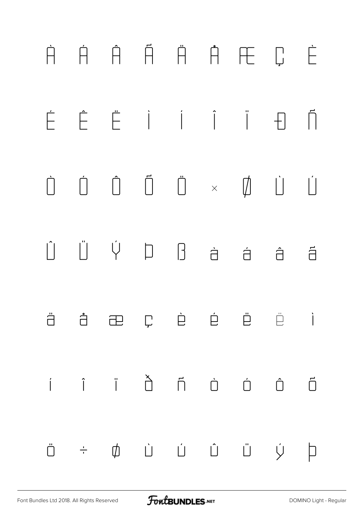# À Á Â Ã Ä Å Æ Ç È É Ê Ë Ì Í Î Ï Ð Ñ Ò Ó Ô Õ Ö × Ø Ù Ú  $\begin{array}{ccccccccccccccccc} \hat{U} & \hat{U} & \hat{V} & D & B & \hat{a} & \hat{a} & \hat{a} & \hat{a} \end{array}$ ä å æ ç è é ê ë ì í î ï ð ñ ò ó ô õ ö ÷ ø ù ú û ü ý þ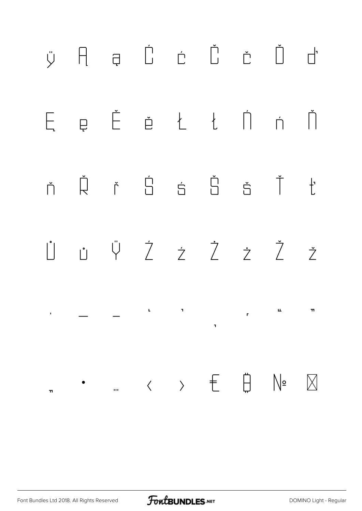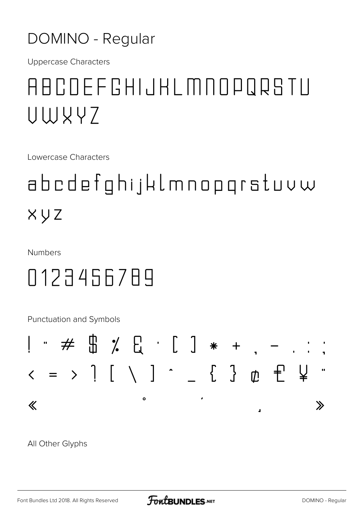#### DOMINO - Regular

**Uppercase Characters** 

### ABCOEFGHIJKLMNOPQRSTU UWYY7

Lowercase Characters

## abcdefghijklmnopgrstuvw XYZ

**Numbers** 

### 0123456789

Punctuation and Symbols

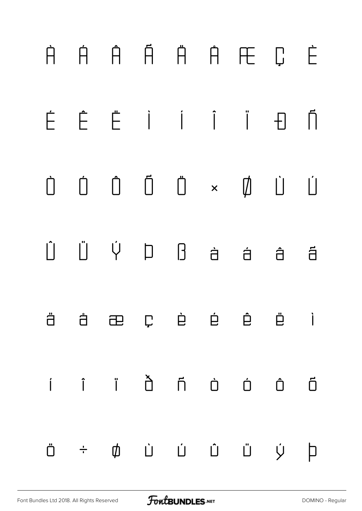# À Á Â Ã Ä Å Æ Ç È É Ê Ë Ì Í Î Ï Ð Ñ Ò Ó Ô Õ Ö × Ø Ù Ú Û Ü Ý Þ ß à á â ã ä å æ ç è é ê ë ì í î ï ð ñ ò ó ô õ ö ÷ ø ù ú û ü ý þ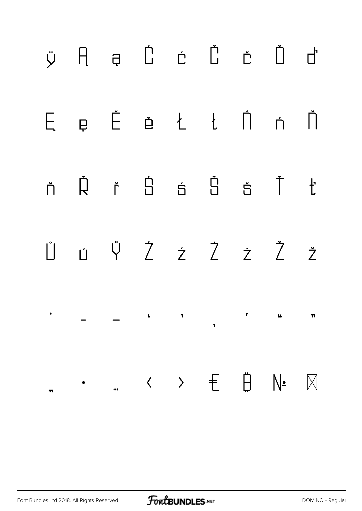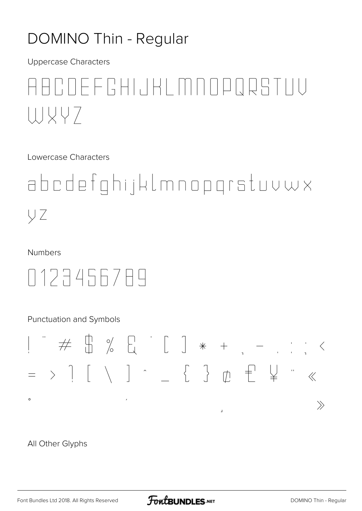#### **DOMINO Thin - Regular**

**Uppercase Characters** 

### ROFFRHIJKI MOODRRTIIU UJVY7

Lowercase Characters

abcdefghijklmnopgrstuvwx ŲΖ

Numbers

0127456789

Punctuation and Symbols

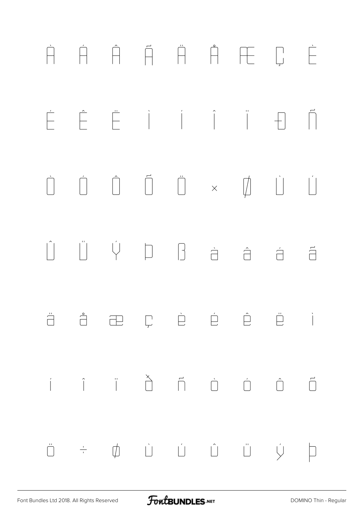# À Á Â Ã Ä Å Æ Ç È  $\begin{array}{ccc} \begin{array}{ccc} \begin{array}{ccc} \mathbf{r} & \mathbf{r} & \mathbf{r} & \mathbf{r} \\ \mathbf{r} & \mathbf{r} & \mathbf{r} \end{array} & \begin{array}{ccc} \mathbf{r} & \mathbf{r} & \mathbf{r} & \mathbf{r} \\ \mathbf{r} & \mathbf{r} & \mathbf{r} \end{array} & \begin{array}{ccc} \mathbf{r} & \mathbf{r} & \mathbf{r} & \mathbf{r} \\ \mathbf{r} & \mathbf{r} & \mathbf{r} \end{array} & \begin{array}{ccc} \mathbf{r} & \mathbf{r} & \math$  $\begin{array}{ccc} \dot{\bigcup} & \dot{\bigcup} & \dot{\bigcup} & \dot{\bigcup} & \dot{\bigcup} & \dot{\bigcup} & \dot{\bigcup} & \dot{\bigcup} & \dot{\bigcup} & \dot{\bigcup} & \dot{\bigcup} & \dot{\bigcup} & \dot{\bigcup} & \dot{\bigcup} & \dot{\bigcup} & \dot{\bigcup} & \dot{\bigcup} & \dot{\bigcup} & \dot{\bigcup} & \dot{\bigcup} & \dot{\bigcup} & \dot{\bigcup} & \dot{\bigcup} & \dot{\bigcup} & \dot{\bigcup} & \dot{\bigcup} & \dot{\bigcup} & \dot{\bigcup} & \dot{\bigcup} & \dot{\bigcup} & \dot{\$  $\begin{matrix} \begin{matrix} 0 \\ 1 \end{matrix} \end{matrix}$   $\begin{matrix} \begin{matrix} 0 \\ 1 \end{matrix} \end{matrix}$   $\begin{matrix} 0 \\ 1 \end{matrix}$   $\begin{matrix} 0 \\ 1 \end{matrix}$   $\begin{matrix} 0 \\ 1 \end{matrix}$   $\begin{matrix} 0 \\ 1 \end{matrix}$   $\begin{matrix} 0 \\ 1 \end{matrix}$   $\begin{matrix} 0 \\ 1 \end{matrix}$   $\begin{matrix} 0 \\ 1 \end{matrix}$   $\begin{matrix} 0 \\ 1 \end{matrix}$   $\begin{matrix} 0 \\ 1 \end{matrix}$   $\begin$ ä å æ ç è é ê ë ì í î ï ð ñ ò ó ô õ ö ÷ ø ù ú û ü ý þ